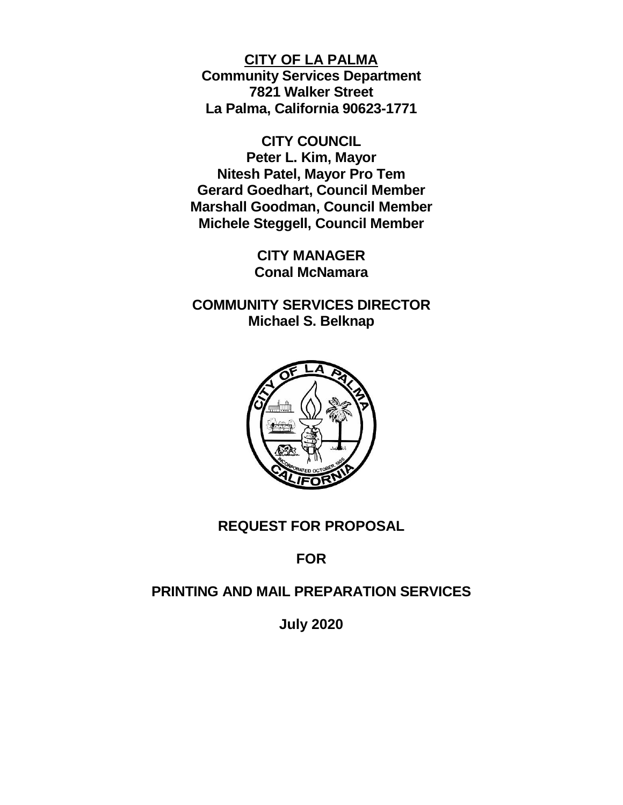**CITY OF LA PALMA Community Services Department 7821 Walker Street La Palma, California 90623-1771**

**CITY COUNCIL Peter L. Kim, Mayor Nitesh Patel, Mayor Pro Tem Gerard Goedhart, Council Member Marshall Goodman, Council Member Michele Steggell, Council Member**

> **CITY MANAGER Conal McNamara**

**COMMUNITY SERVICES DIRECTOR Michael S. Belknap**



# **REQUEST FOR PROPOSAL**

**FOR**

# **PRINTING AND MAIL PREPARATION SERVICES**

**July 2020**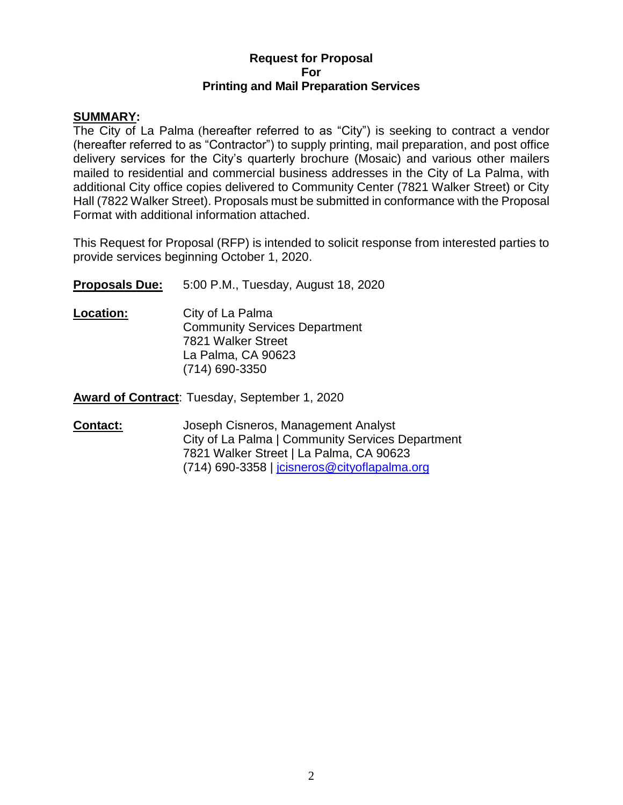#### **Request for Proposal For Printing and Mail Preparation Services**

#### **SUMMARY:**

The City of La Palma (hereafter referred to as "City") is seeking to contract a vendor (hereafter referred to as "Contractor") to supply printing, mail preparation, and post office delivery services for the City's quarterly brochure (Mosaic) and various other mailers mailed to residential and commercial business addresses in the City of La Palma, with additional City office copies delivered to Community Center (7821 Walker Street) or City Hall (7822 Walker Street). Proposals must be submitted in conformance with the Proposal Format with additional information attached.

This Request for Proposal (RFP) is intended to solicit response from interested parties to provide services beginning October 1, 2020.

**Proposals Due:** 5:00 P.M., Tuesday, August 18, 2020

**Location:** City of La Palma Community Services Department 7821 Walker Street La Palma, CA 90623 (714) 690-3350

**Award of Contract**: Tuesday, September 1, 2020

**Contact:** Joseph Cisneros, Management Analyst City of La Palma | Community Services Department 7821 Walker Street | La Palma, CA 90623 (714) 690-3358 | [jcisneros@cityoflapalma.org](mailto:jcisneros@cityoflapalma.org)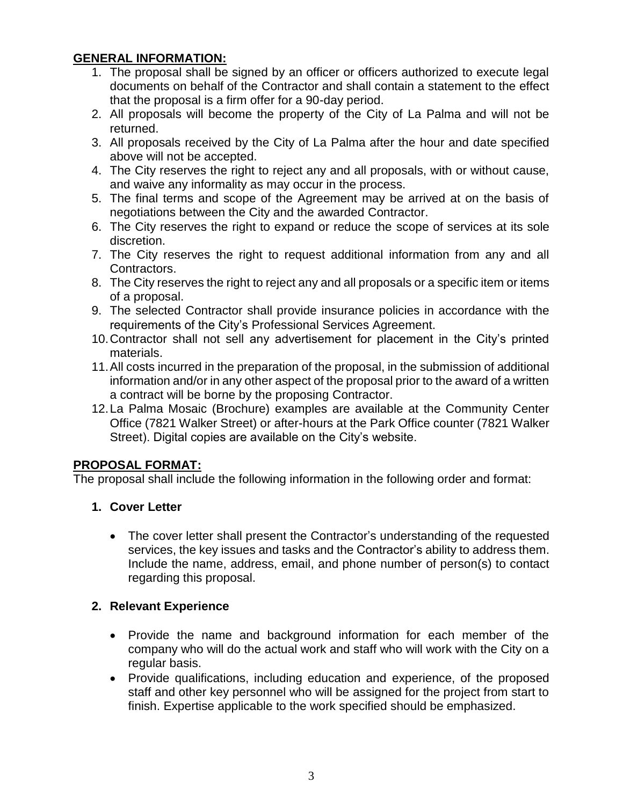# **GENERAL INFORMATION:**

- 1. The proposal shall be signed by an officer or officers authorized to execute legal documents on behalf of the Contractor and shall contain a statement to the effect that the proposal is a firm offer for a 90-day period.
- 2. All proposals will become the property of the City of La Palma and will not be returned.
- 3. All proposals received by the City of La Palma after the hour and date specified above will not be accepted.
- 4. The City reserves the right to reject any and all proposals, with or without cause, and waive any informality as may occur in the process.
- 5. The final terms and scope of the Agreement may be arrived at on the basis of negotiations between the City and the awarded Contractor.
- 6. The City reserves the right to expand or reduce the scope of services at its sole discretion.
- 7. The City reserves the right to request additional information from any and all Contractors.
- 8. The City reserves the right to reject any and all proposals or a specific item or items of a proposal.
- 9. The selected Contractor shall provide insurance policies in accordance with the requirements of the City's Professional Services Agreement.
- 10.Contractor shall not sell any advertisement for placement in the City's printed materials.
- 11.All costs incurred in the preparation of the proposal, in the submission of additional information and/or in any other aspect of the proposal prior to the award of a written a contract will be borne by the proposing Contractor.
- 12.La Palma Mosaic (Brochure) examples are available at the Community Center Office (7821 Walker Street) or after-hours at the Park Office counter (7821 Walker Street). Digital copies are available on the City's website.

## **PROPOSAL FORMAT:**

The proposal shall include the following information in the following order and format:

- **1. Cover Letter**
	- The cover letter shall present the Contractor's understanding of the requested services, the key issues and tasks and the Contractor's ability to address them. Include the name, address, email, and phone number of person(s) to contact regarding this proposal.

## **2. Relevant Experience**

- Provide the name and background information for each member of the company who will do the actual work and staff who will work with the City on a regular basis.
- Provide qualifications, including education and experience, of the proposed staff and other key personnel who will be assigned for the project from start to finish. Expertise applicable to the work specified should be emphasized.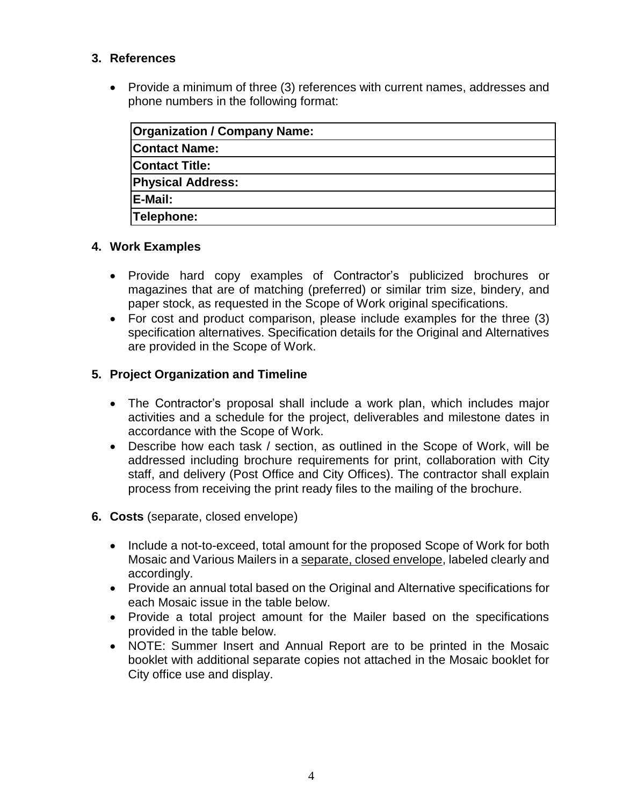### **3. References**

 Provide a minimum of three (3) references with current names, addresses and phone numbers in the following format:

| <b>Organization / Company Name:</b> |  |
|-------------------------------------|--|
| <b>Contact Name:</b>                |  |
| <b>Contact Title:</b>               |  |
| <b>Physical Address:</b>            |  |
| <b>IE-Mail:</b>                     |  |
| Telephone:                          |  |

### **4. Work Examples**

- Provide hard copy examples of Contractor's publicized brochures or magazines that are of matching (preferred) or similar trim size, bindery, and paper stock, as requested in the Scope of Work original specifications.
- For cost and product comparison, please include examples for the three (3) specification alternatives. Specification details for the Original and Alternatives are provided in the Scope of Work.

## **5. Project Organization and Timeline**

- The Contractor's proposal shall include a work plan, which includes major activities and a schedule for the project, deliverables and milestone dates in accordance with the Scope of Work.
- Describe how each task / section, as outlined in the Scope of Work, will be addressed including brochure requirements for print, collaboration with City staff, and delivery (Post Office and City Offices). The contractor shall explain process from receiving the print ready files to the mailing of the brochure.
- **6. Costs** (separate, closed envelope)
	- Include a not-to-exceed, total amount for the proposed Scope of Work for both Mosaic and Various Mailers in a separate, closed envelope, labeled clearly and accordingly.
	- Provide an annual total based on the Original and Alternative specifications for each Mosaic issue in the table below.
	- Provide a total project amount for the Mailer based on the specifications provided in the table below.
	- NOTE: Summer Insert and Annual Report are to be printed in the Mosaic booklet with additional separate copies not attached in the Mosaic booklet for City office use and display.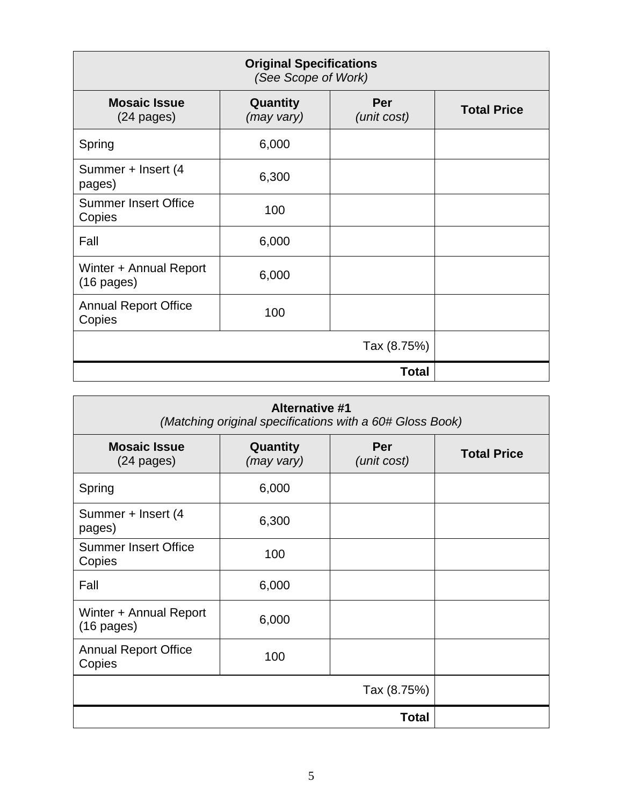| <b>Original Specifications</b><br>(See Scope of Work) |                        |                    |                    |
|-------------------------------------------------------|------------------------|--------------------|--------------------|
| <b>Mosaic Issue</b><br>$(24 \text{ pages})$           | Quantity<br>(may vary) | Per<br>(unit cost) | <b>Total Price</b> |
| Spring                                                | 6,000                  |                    |                    |
| Summer + Insert (4<br>pages)                          | 6,300                  |                    |                    |
| <b>Summer Insert Office</b><br>Copies                 | 100                    |                    |                    |
| Fall                                                  | 6,000                  |                    |                    |
| Winter + Annual Report<br>$(16 \text{ pages})$        | 6,000                  |                    |                    |
| <b>Annual Report Office</b><br>Copies                 | 100                    |                    |                    |
|                                                       |                        | Tax (8.75%)        |                    |
|                                                       |                        | <b>Total</b>       |                    |

| <b>Alternative #1</b><br>(Matching original specifications with a 60# Gloss Book) |                        |                    |                    |
|-----------------------------------------------------------------------------------|------------------------|--------------------|--------------------|
| <b>Mosaic Issue</b><br>$(24 \text{ pages})$                                       | Quantity<br>(may vary) | Per<br>(unit cost) | <b>Total Price</b> |
| Spring                                                                            | 6,000                  |                    |                    |
| Summer + Insert (4<br>pages)                                                      | 6,300                  |                    |                    |
| <b>Summer Insert Office</b><br>Copies                                             | 100                    |                    |                    |
| Fall                                                                              | 6,000                  |                    |                    |
| Winter + Annual Report<br>$(16$ pages)                                            | 6,000                  |                    |                    |
| <b>Annual Report Office</b><br>Copies                                             | 100                    |                    |                    |
|                                                                                   |                        | Tax (8.75%)        |                    |
|                                                                                   |                        | Total              |                    |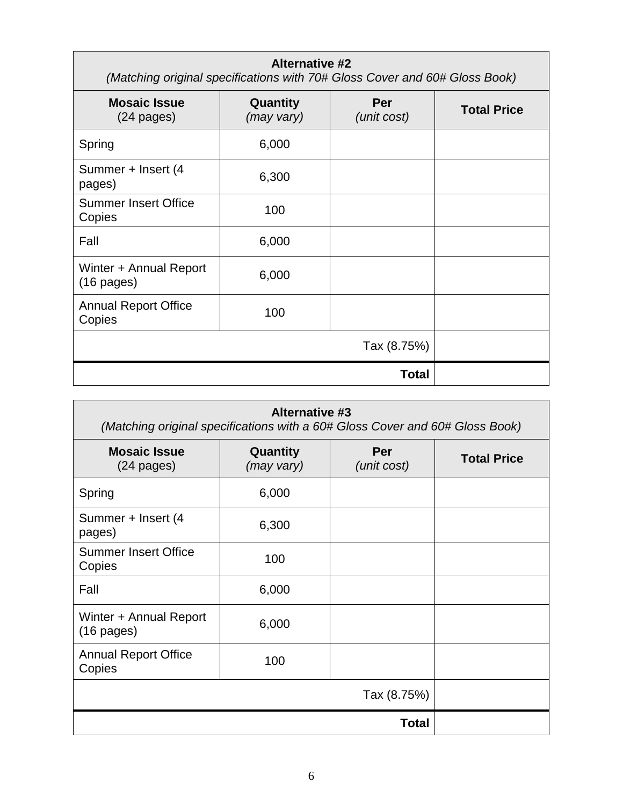| <b>Alternative #2</b><br>(Matching original specifications with 70# Gloss Cover and 60# Gloss Book) |                        |                    |                    |
|-----------------------------------------------------------------------------------------------------|------------------------|--------------------|--------------------|
| <b>Mosaic Issue</b><br>$(24 \text{ pages})$                                                         | Quantity<br>(may vary) | Per<br>(unit cost) | <b>Total Price</b> |
| Spring                                                                                              | 6,000                  |                    |                    |
| Summer + Insert (4<br>pages)                                                                        | 6,300                  |                    |                    |
| <b>Summer Insert Office</b><br>Copies                                                               | 100                    |                    |                    |
| Fall                                                                                                | 6,000                  |                    |                    |
| Winter + Annual Report<br>$(16 \text{ pages})$                                                      | 6,000                  |                    |                    |
| <b>Annual Report Office</b><br>Copies                                                               | 100                    |                    |                    |
|                                                                                                     |                        | Tax (8.75%)        |                    |
|                                                                                                     |                        | Total              |                    |

| <b>Alternative #3</b><br>(Matching original specifications with a 60# Gloss Cover and 60# Gloss Book) |                        |                    |                    |
|-------------------------------------------------------------------------------------------------------|------------------------|--------------------|--------------------|
| <b>Mosaic Issue</b><br>$(24$ pages)                                                                   | Quantity<br>(may vary) | Per<br>(unit cost) | <b>Total Price</b> |
| Spring                                                                                                | 6,000                  |                    |                    |
| Summer + Insert (4<br>pages)                                                                          | 6,300                  |                    |                    |
| <b>Summer Insert Office</b><br>Copies                                                                 | 100                    |                    |                    |
| Fall                                                                                                  | 6,000                  |                    |                    |
| Winter + Annual Report<br>$(16 \text{ pages})$                                                        | 6,000                  |                    |                    |
| <b>Annual Report Office</b><br>Copies                                                                 | 100                    |                    |                    |
|                                                                                                       |                        | Tax (8.75%)        |                    |
|                                                                                                       |                        | <b>Total</b>       |                    |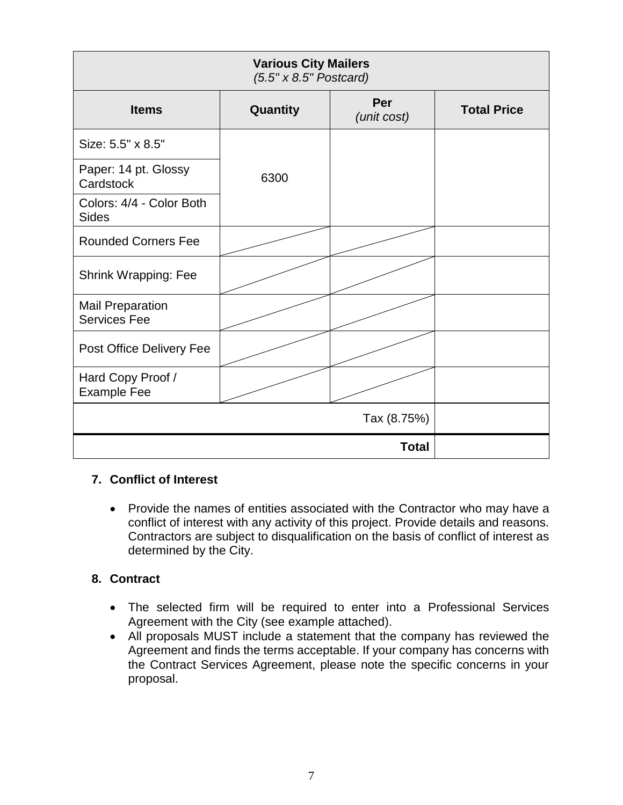| <b>Various City Mailers</b><br>$(5.5" \times 8.5"$ Postcard) |          |                    |                    |
|--------------------------------------------------------------|----------|--------------------|--------------------|
| <b>Items</b>                                                 | Quantity | Per<br>(unit cost) | <b>Total Price</b> |
| Size: 5.5" x 8.5"                                            |          |                    |                    |
| Paper: 14 pt. Glossy<br>Cardstock                            | 6300     |                    |                    |
| Colors: 4/4 - Color Both<br><b>Sides</b>                     |          |                    |                    |
| <b>Rounded Corners Fee</b>                                   |          |                    |                    |
| <b>Shrink Wrapping: Fee</b>                                  |          |                    |                    |
| <b>Mail Preparation</b><br><b>Services Fee</b>               |          |                    |                    |
| Post Office Delivery Fee                                     |          |                    |                    |
| Hard Copy Proof /<br><b>Example Fee</b>                      |          |                    |                    |
|                                                              |          | Tax (8.75%)        |                    |
|                                                              |          | <b>Total</b>       |                    |

### **7. Conflict of Interest**

• Provide the names of entities associated with the Contractor who may have a conflict of interest with any activity of this project. Provide details and reasons. Contractors are subject to disqualification on the basis of conflict of interest as determined by the City.

### **8. Contract**

- The selected firm will be required to enter into a Professional Services Agreement with the City (see example attached).
- All proposals MUST include a statement that the company has reviewed the Agreement and finds the terms acceptable. If your company has concerns with the Contract Services Agreement, please note the specific concerns in your proposal.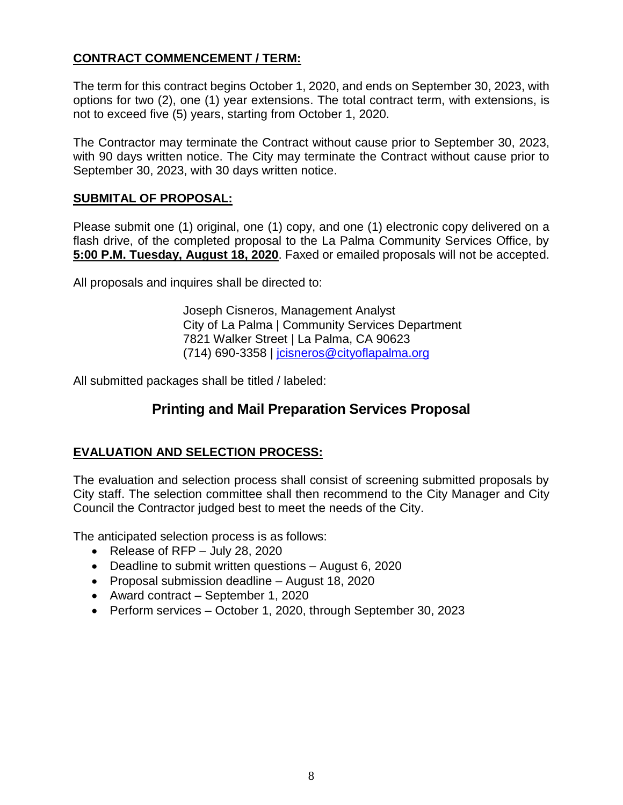# **CONTRACT COMMENCEMENT / TERM:**

The term for this contract begins October 1, 2020, and ends on September 30, 2023, with options for two (2), one (1) year extensions. The total contract term, with extensions, is not to exceed five (5) years, starting from October 1, 2020.

The Contractor may terminate the Contract without cause prior to September 30, 2023, with 90 days written notice. The City may terminate the Contract without cause prior to September 30, 2023, with 30 days written notice.

### **SUBMITAL OF PROPOSAL:**

Please submit one (1) original, one (1) copy, and one (1) electronic copy delivered on a flash drive, of the completed proposal to the La Palma Community Services Office, by **5:00 P.M. Tuesday, August 18, 2020**. Faxed or emailed proposals will not be accepted.

All proposals and inquires shall be directed to:

Joseph Cisneros, Management Analyst City of La Palma | Community Services Department 7821 Walker Street | La Palma, CA 90623 (714) 690-3358 | [jcisneros@cityoflapalma.org](mailto:jcisneros@cityoflapalma.org)

All submitted packages shall be titled / labeled:

# **Printing and Mail Preparation Services Proposal**

## **EVALUATION AND SELECTION PROCESS:**

The evaluation and selection process shall consist of screening submitted proposals by City staff. The selection committee shall then recommend to the City Manager and City Council the Contractor judged best to meet the needs of the City.

The anticipated selection process is as follows:

- Release of RFP July 28, 2020
- Deadline to submit written questions August 6, 2020
- Proposal submission deadline August 18, 2020
- Award contract September 1, 2020
- Perform services October 1, 2020, through September 30, 2023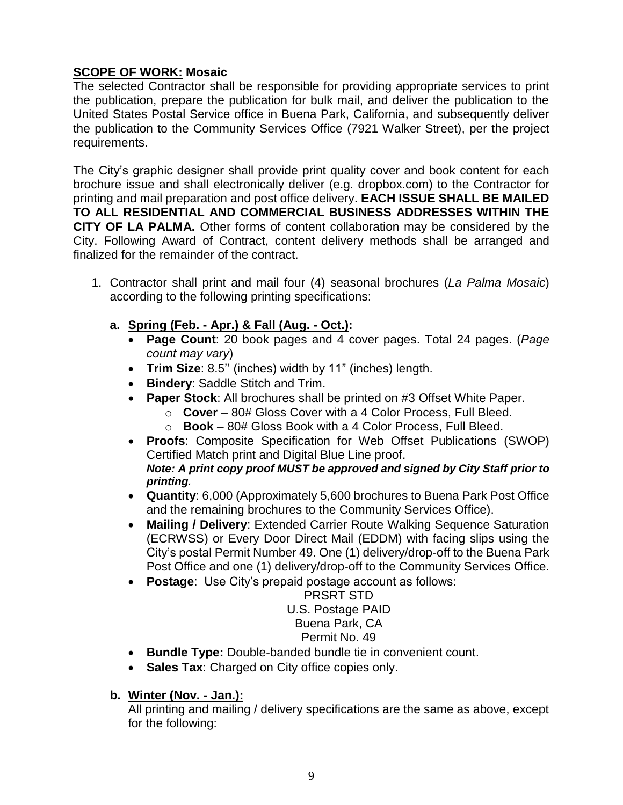# **SCOPE OF WORK: Mosaic**

The selected Contractor shall be responsible for providing appropriate services to print the publication, prepare the publication for bulk mail, and deliver the publication to the United States Postal Service office in Buena Park, California, and subsequently deliver the publication to the Community Services Office (7921 Walker Street), per the project requirements.

The City's graphic designer shall provide print quality cover and book content for each brochure issue and shall electronically deliver (e.g. dropbox.com) to the Contractor for printing and mail preparation and post office delivery. **EACH ISSUE SHALL BE MAILED TO ALL RESIDENTIAL AND COMMERCIAL BUSINESS ADDRESSES WITHIN THE CITY OF LA PALMA.** Other forms of content collaboration may be considered by the City. Following Award of Contract, content delivery methods shall be arranged and finalized for the remainder of the contract.

- 1. Contractor shall print and mail four (4) seasonal brochures (*La Palma Mosaic*) according to the following printing specifications:
	- **a. Spring (Feb. - Apr.) & Fall (Aug. - Oct.):**
		- **Page Count**: 20 book pages and 4 cover pages. Total 24 pages. (*Page count may vary*)
		- **Trim Size**: 8.5'' (inches) width by 11" (inches) length.
		- **Bindery**: Saddle Stitch and Trim.
		- **Paper Stock**: All brochures shall be printed on #3 Offset White Paper.
			- o **Cover** 80# Gloss Cover with a 4 Color Process, Full Bleed.
			- o **Book** 80# Gloss Book with a 4 Color Process, Full Bleed.
		- **Proofs**: Composite Specification for Web Offset Publications (SWOP) Certified Match print and Digital Blue Line proof. *Note: A print copy proof MUST be approved and signed by City Staff prior to printing.*
		- **Quantity**: 6,000 (Approximately 5,600 brochures to Buena Park Post Office and the remaining brochures to the Community Services Office).
		- **Mailing / Delivery**: Extended Carrier Route Walking Sequence Saturation (ECRWSS) or Every Door Direct Mail (EDDM) with facing slips using the City's postal Permit Number 49. One (1) delivery/drop-off to the Buena Park Post Office and one (1) delivery/drop-off to the Community Services Office.
		- **Postage**: Use City's prepaid postage account as follows:

#### PRSRT STD U.S. Postage PAID Buena Park, CA Permit No. 49

# **Bundle Type:** Double-banded bundle tie in convenient count.

**Sales Tax**: Charged on City office copies only.

## **b. Winter (Nov. - Jan.):**

All printing and mailing / delivery specifications are the same as above, except for the following: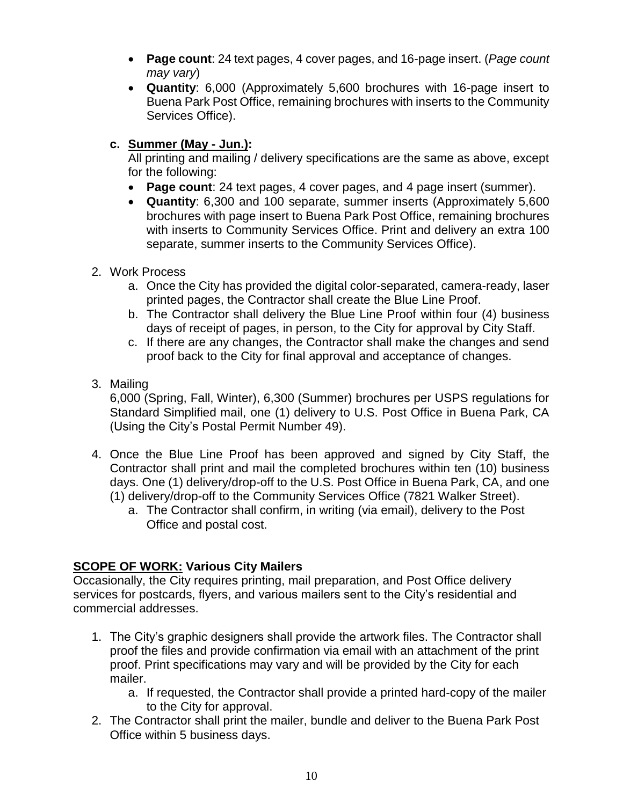- **Page count**: 24 text pages, 4 cover pages, and 16-page insert. (*Page count may vary*)
- **Quantity**: 6,000 (Approximately 5,600 brochures with 16-page insert to Buena Park Post Office, remaining brochures with inserts to the Community Services Office).
- **c. Summer (May - Jun.):**

All printing and mailing / delivery specifications are the same as above, except for the following:

- **Page count**: 24 text pages, 4 cover pages, and 4 page insert (summer).
- **Quantity**: 6,300 and 100 separate, summer inserts (Approximately 5,600 brochures with page insert to Buena Park Post Office, remaining brochures with inserts to Community Services Office. Print and delivery an extra 100 separate, summer inserts to the Community Services Office).
- 2. Work Process
	- a. Once the City has provided the digital color-separated, camera-ready, laser printed pages, the Contractor shall create the Blue Line Proof.
	- b. The Contractor shall delivery the Blue Line Proof within four (4) business days of receipt of pages, in person, to the City for approval by City Staff.
	- c. If there are any changes, the Contractor shall make the changes and send proof back to the City for final approval and acceptance of changes.
- 3. Mailing

6,000 (Spring, Fall, Winter), 6,300 (Summer) brochures per USPS regulations for Standard Simplified mail, one (1) delivery to U.S. Post Office in Buena Park, CA (Using the City's Postal Permit Number 49).

- 4. Once the Blue Line Proof has been approved and signed by City Staff, the Contractor shall print and mail the completed brochures within ten (10) business days. One (1) delivery/drop-off to the U.S. Post Office in Buena Park, CA, and one (1) delivery/drop-off to the Community Services Office (7821 Walker Street).
	- a. The Contractor shall confirm, in writing (via email), delivery to the Post Office and postal cost.

# **SCOPE OF WORK: Various City Mailers**

Occasionally, the City requires printing, mail preparation, and Post Office delivery services for postcards, flyers, and various mailers sent to the City's residential and commercial addresses.

- 1. The City's graphic designers shall provide the artwork files. The Contractor shall proof the files and provide confirmation via email with an attachment of the print proof. Print specifications may vary and will be provided by the City for each mailer.
	- a. If requested, the Contractor shall provide a printed hard-copy of the mailer to the City for approval.
- 2. The Contractor shall print the mailer, bundle and deliver to the Buena Park Post Office within 5 business days.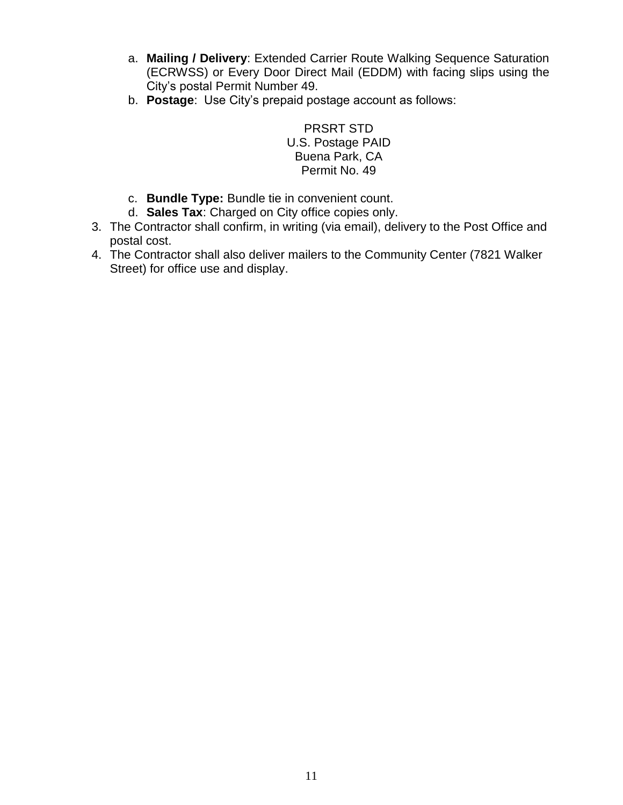- a. **Mailing / Delivery**: Extended Carrier Route Walking Sequence Saturation (ECRWSS) or Every Door Direct Mail (EDDM) with facing slips using the City's postal Permit Number 49.
- b. **Postage**: Use City's prepaid postage account as follows:

PRSRT STD U.S. Postage PAID Buena Park, CA Permit No. 49

- c. **Bundle Type:** Bundle tie in convenient count.
- d. **Sales Tax**: Charged on City office copies only.
- 3. The Contractor shall confirm, in writing (via email), delivery to the Post Office and postal cost.
- 4. The Contractor shall also deliver mailers to the Community Center (7821 Walker Street) for office use and display.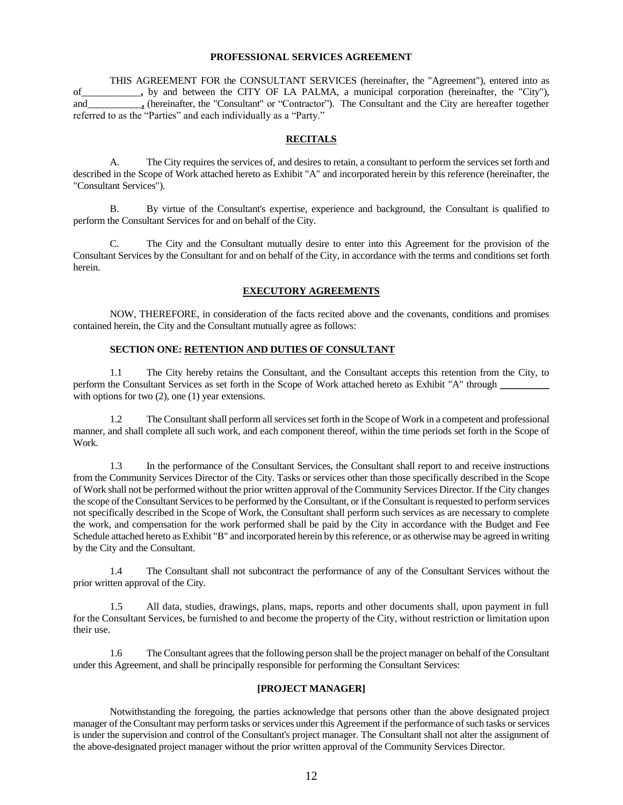#### **PROFESSIONAL SERVICES AGREEMENT**

THIS AGREEMENT FOR the CONSULTANT SERVICES (hereinafter, the "Agreement"), entered into as of\_\_\_\_\_\_\_\_\_\_\_\_**,** by and between the CITY OF LA PALMA, a municipal corporation (hereinafter, the "City"), and\_\_\_\_\_\_\_\_\_\_\_**,** (hereinafter, the "Consultant" or "Contractor"). The Consultant and the City are hereafter together referred to as the "Parties" and each individually as a "Party."

#### **RECITALS**

A. The City requires the services of, and desires to retain, a consultant to perform the services set forth and described in the Scope of Work attached hereto as Exhibit "A" and incorporated herein by this reference (hereinafter, the "Consultant Services").

B. By virtue of the Consultant's expertise, experience and background, the Consultant is qualified to perform the Consultant Services for and on behalf of the City.

C. The City and the Consultant mutually desire to enter into this Agreement for the provision of the Consultant Services by the Consultant for and on behalf of the City, in accordance with the terms and conditions set forth herein.

#### **EXECUTORY AGREEMENTS**

NOW, THEREFORE, in consideration of the facts recited above and the covenants, conditions and promises contained herein, the City and the Consultant mutually agree as follows:

#### **SECTION ONE: RETENTION AND DUTIES OF CONSULTANT**

1.1 The City hereby retains the Consultant, and the Consultant accepts this retention from the City, to perform the Consultant Services as set forth in the Scope of Work attached hereto as Exhibit "A" through \_ with options for two  $(2)$ , one  $(1)$  year extensions.

1.2 The Consultant shall perform all services set forth in the Scope of Work in a competent and professional manner, and shall complete all such work, and each component thereof, within the time periods set forth in the Scope of Work.

1.3 In the performance of the Consultant Services, the Consultant shall report to and receive instructions from the Community Services Director of the City. Tasks or services other than those specifically described in the Scope of Work shall not be performed without the prior written approval of the Community Services Director. If the City changes the scope of the Consultant Services to be performed by the Consultant, or if the Consultant is requested to perform services not specifically described in the Scope of Work, the Consultant shall perform such services as are necessary to complete the work, and compensation for the work performed shall be paid by the City in accordance with the Budget and Fee Schedule attached hereto as Exhibit "B" and incorporated herein by this reference, or as otherwise may be agreed in writing by the City and the Consultant.

1.4 The Consultant shall not subcontract the performance of any of the Consultant Services without the prior written approval of the City.

1.5 All data, studies, drawings, plans, maps, reports and other documents shall, upon payment in full for the Consultant Services, be furnished to and become the property of the City, without restriction or limitation upon their use.

1.6 The Consultant agrees that the following person shall be the project manager on behalf of the Consultant under this Agreement, and shall be principally responsible for performing the Consultant Services:

#### **[PROJECT MANAGER]**

Notwithstanding the foregoing, the parties acknowledge that persons other than the above designated project manager of the Consultant may perform tasks or services under this Agreement if the performance of such tasks or services is under the supervision and control of the Consultant's project manager. The Consultant shall not alter the assignment of the above-designated project manager without the prior written approval of the Community Services Director.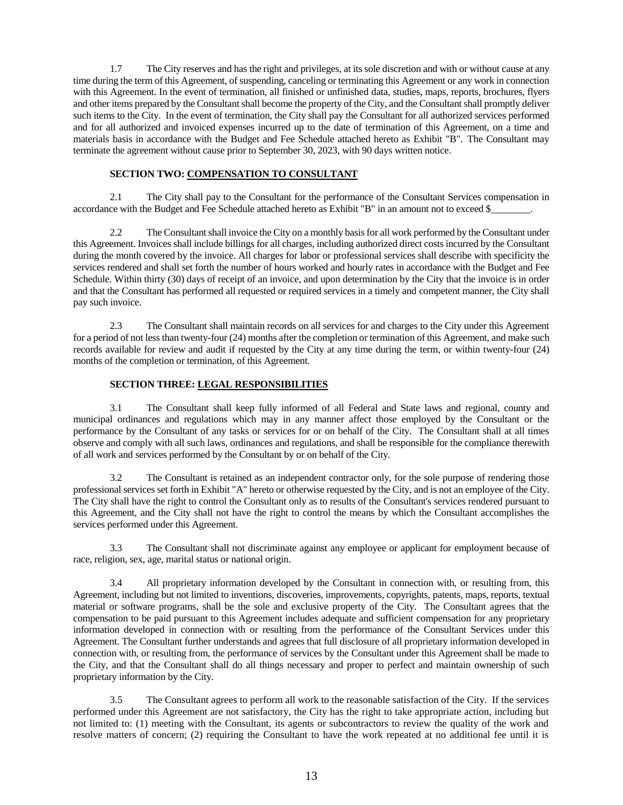1.7 The City reserves and has the right and privileges, at its sole discretion and with or without cause at any time during the term of this Agreement, of suspending, canceling or terminating this Agreement or any work in connection with this Agreement. In the event of termination, all finished or unfinished data, studies, maps, reports, brochures, flyers and other items prepared by the Consultant shall become the property of the City, and the Consultant shall promptly deliver such items to the City. In the event of termination, the City shall pay the Consultant for all authorized services performed and for all authorized and invoiced expenses incurred up to the date of termination of this Agreement, on a time and materials basis in accordance with the Budget and Fee Schedule attached hereto as Exhibit "B". The Consultant may terminate the agreement without cause prior to September 30, 2023, with 90 days written notice.

#### **SECTION TWO: COMPENSATION TO CONSULTANT**

2.1 The City shall pay to the Consultant for the performance of the Consultant Services compensation in accordance with the Budget and Fee Schedule attached hereto as Exhibit "B" in an amount not to exceed \$\_

2.2 The Consultant shall invoice the City on a monthly basis for all work performed by the Consultant under this Agreement. Invoices shall include billings for all charges, including authorized direct costs incurred by the Consultant during the month covered by the invoice. All charges for labor or professional services shall describe with specificity the services rendered and shall set forth the number of hours worked and hourly rates in accordance with the Budget and Fee Schedule. Within thirty (30) days of receipt of an invoice, and upon determination by the City that the invoice is in order and that the Consultant has performed all requested or required services in a timely and competent manner, the City shall pay such invoice.

2.3 The Consultant shall maintain records on all services for and charges to the City under this Agreement for a period of not less than twenty-four (24) months after the completion or termination of this Agreement, and make such records available for review and audit if requested by the City at any time during the term, or within twenty-four (24) months of the completion or termination, of this Agreement.

#### **SECTION THREE: LEGAL RESPONSIBILITIES**

3.1 The Consultant shall keep fully informed of all Federal and State laws and regional, county and municipal ordinances and regulations which may in any manner affect those employed by the Consultant or the performance by the Consultant of any tasks or services for or on behalf of the City. The Consultant shall at all times observe and comply with all such laws, ordinances and regulations, and shall be responsible for the compliance therewith of all work and services performed by the Consultant by or on behalf of the City.

3.2 The Consultant is retained as an independent contractor only, for the sole purpose of rendering those professional services set forth in Exhibit "A" hereto or otherwise requested by the City, and is not an employee of the City. The City shall have the right to control the Consultant only as to results of the Consultant's services rendered pursuant to this Agreement, and the City shall not have the right to control the means by which the Consultant accomplishes the services performed under this Agreement.

3.3 The Consultant shall not discriminate against any employee or applicant for employment because of race, religion, sex, age, marital status or national origin.

3.4 All proprietary information developed by the Consultant in connection with, or resulting from, this Agreement, including but not limited to inventions, discoveries, improvements, copyrights, patents, maps, reports, textual material or software programs, shall be the sole and exclusive property of the City. The Consultant agrees that the compensation to be paid pursuant to this Agreement includes adequate and sufficient compensation for any proprietary information developed in connection with or resulting from the performance of the Consultant Services under this Agreement. The Consultant further understands and agrees that full disclosure of all proprietary information developed in connection with, or resulting from, the performance of services by the Consultant under this Agreement shall be made to the City, and that the Consultant shall do all things necessary and proper to perfect and maintain ownership of such proprietary information by the City.

3.5 The Consultant agrees to perform all work to the reasonable satisfaction of the City. If the services performed under this Agreement are not satisfactory, the City has the right to take appropriate action, including but not limited to: (1) meeting with the Consultant, its agents or subcontractors to review the quality of the work and resolve matters of concern; (2) requiring the Consultant to have the work repeated at no additional fee until it is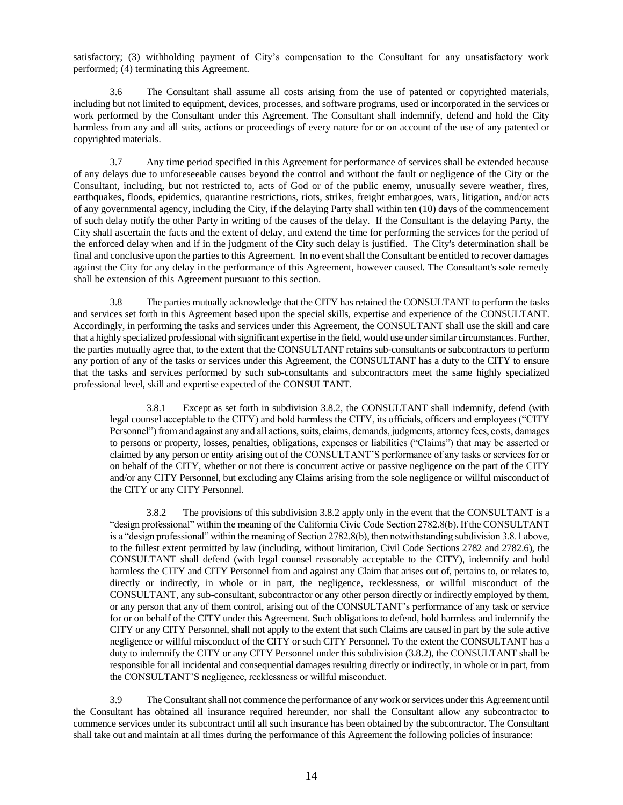satisfactory; (3) withholding payment of City's compensation to the Consultant for any unsatisfactory work performed; (4) terminating this Agreement.

3.6 The Consultant shall assume all costs arising from the use of patented or copyrighted materials, including but not limited to equipment, devices, processes, and software programs, used or incorporated in the services or work performed by the Consultant under this Agreement. The Consultant shall indemnify, defend and hold the City harmless from any and all suits, actions or proceedings of every nature for or on account of the use of any patented or copyrighted materials.

3.7 Any time period specified in this Agreement for performance of services shall be extended because of any delays due to unforeseeable causes beyond the control and without the fault or negligence of the City or the Consultant, including, but not restricted to, acts of God or of the public enemy, unusually severe weather, fires, earthquakes, floods, epidemics, quarantine restrictions, riots, strikes, freight embargoes, wars, litigation, and/or acts of any governmental agency, including the City, if the delaying Party shall within ten (10) days of the commencement of such delay notify the other Party in writing of the causes of the delay. If the Consultant is the delaying Party, the City shall ascertain the facts and the extent of delay, and extend the time for performing the services for the period of the enforced delay when and if in the judgment of the City such delay is justified. The City's determination shall be final and conclusive upon the parties to this Agreement. In no event shall the Consultant be entitled to recover damages against the City for any delay in the performance of this Agreement, however caused. The Consultant's sole remedy shall be extension of this Agreement pursuant to this section.

3.8 The parties mutually acknowledge that the CITY has retained the CONSULTANT to perform the tasks and services set forth in this Agreement based upon the special skills, expertise and experience of the CONSULTANT. Accordingly, in performing the tasks and services under this Agreement, the CONSULTANT shall use the skill and care that a highly specialized professional with significant expertise in the field, would use under similar circumstances. Further, the parties mutually agree that, to the extent that the CONSULTANT retains sub-consultants or subcontractors to perform any portion of any of the tasks or services under this Agreement, the CONSULTANT has a duty to the CITY to ensure that the tasks and services performed by such sub-consultants and subcontractors meet the same highly specialized professional level, skill and expertise expected of the CONSULTANT.

3.8.1 Except as set forth in subdivision 3.8.2, the CONSULTANT shall indemnify, defend (with legal counsel acceptable to the CITY) and hold harmless the CITY, its officials, officers and employees ("CITY Personnel") from and against any and all actions, suits, claims, demands, judgments, attorney fees, costs, damages to persons or property, losses, penalties, obligations, expenses or liabilities ("Claims") that may be asserted or claimed by any person or entity arising out of the CONSULTANT'S performance of any tasks or services for or on behalf of the CITY, whether or not there is concurrent active or passive negligence on the part of the CITY and/or any CITY Personnel, but excluding any Claims arising from the sole negligence or willful misconduct of the CITY or any CITY Personnel.

3.8.2 The provisions of this subdivision 3.8.2 apply only in the event that the CONSULTANT is a "design professional" within the meaning of the California Civic Code Section 2782.8(b). If the CONSULTANT is a "design professional" within the meaning of Section 2782.8(b), then notwithstanding subdivision 3.8.1 above, to the fullest extent permitted by law (including, without limitation, Civil Code Sections 2782 and 2782.6), the CONSULTANT shall defend (with legal counsel reasonably acceptable to the CITY), indemnify and hold harmless the CITY and CITY Personnel from and against any Claim that arises out of, pertains to, or relates to, directly or indirectly, in whole or in part, the negligence, recklessness, or willful misconduct of the CONSULTANT, any sub-consultant, subcontractor or any other person directly or indirectly employed by them, or any person that any of them control, arising out of the CONSULTANT's performance of any task or service for or on behalf of the CITY under this Agreement. Such obligations to defend, hold harmless and indemnify the CITY or any CITY Personnel, shall not apply to the extent that such Claims are caused in part by the sole active negligence or willful misconduct of the CITY or such CITY Personnel. To the extent the CONSULTANT has a duty to indemnify the CITY or any CITY Personnel under this subdivision (3.8.2), the CONSULTANT shall be responsible for all incidental and consequential damages resulting directly or indirectly, in whole or in part, from the CONSULTANT'S negligence, recklessness or willful misconduct.

3.9 The Consultant shall not commence the performance of any work or services under this Agreement until the Consultant has obtained all insurance required hereunder, nor shall the Consultant allow any subcontractor to commence services under its subcontract until all such insurance has been obtained by the subcontractor. The Consultant shall take out and maintain at all times during the performance of this Agreement the following policies of insurance: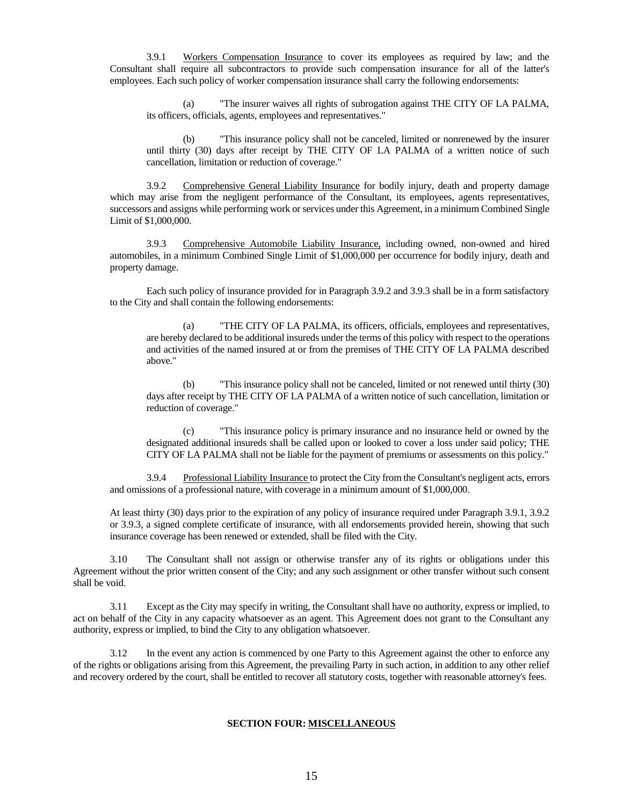3.9.1 Workers Compensation Insurance to cover its employees as required by law; and the Consultant shall require all subcontractors to provide such compensation insurance for all of the latter's employees. Each such policy of worker compensation insurance shall carry the following endorsements:

"The insurer waives all rights of subrogation against THE CITY OF LA PALMA, its officers, officials, agents, employees and representatives."

(b) "This insurance policy shall not be canceled, limited or nonrenewed by the insurer until thirty (30) days after receipt by THE CITY OF LA PALMA of a written notice of such cancellation, limitation or reduction of coverage."

3.9.2 Comprehensive General Liability Insurance for bodily injury, death and property damage which may arise from the negligent performance of the Consultant, its employees, agents representatives, successors and assigns while performing work or services under this Agreement, in a minimum Combined Single Limit of \$1,000,000.

3.9.3 Comprehensive Automobile Liability Insurance, including owned, non-owned and hired automobiles, in a minimum Combined Single Limit of \$1,000,000 per occurrence for bodily injury, death and property damage.

Each such policy of insurance provided for in Paragraph 3.9.2 and 3.9.3 shall be in a form satisfactory to the City and shall contain the following endorsements:

(a) "THE CITY OF LA PALMA, its officers, officials, employees and representatives, are hereby declared to be additional insureds under the terms of this policy with respect to the operations and activities of the named insured at or from the premises of THE CITY OF LA PALMA described above."

(b) "This insurance policy shall not be canceled, limited or not renewed until thirty (30) days after receipt by THE CITY OF LA PALMA of a written notice of such cancellation, limitation or reduction of coverage."

(c) "This insurance policy is primary insurance and no insurance held or owned by the designated additional insureds shall be called upon or looked to cover a loss under said policy; THE CITY OF LA PALMA shall not be liable for the payment of premiums or assessments on this policy."

3.9.4 Professional Liability Insurance to protect the City from the Consultant's negligent acts, errors and omissions of a professional nature, with coverage in a minimum amount of \$1,000,000.

At least thirty (30) days prior to the expiration of any policy of insurance required under Paragraph 3.9.1, 3.9.2 or 3.9.3, a signed complete certificate of insurance, with all endorsements provided herein, showing that such insurance coverage has been renewed or extended, shall be filed with the City.

3.10 The Consultant shall not assign or otherwise transfer any of its rights or obligations under this Agreement without the prior written consent of the City; and any such assignment or other transfer without such consent shall be void.

3.11 Except as the City may specify in writing, the Consultant shall have no authority, express or implied, to act on behalf of the City in any capacity whatsoever as an agent. This Agreement does not grant to the Consultant any authority, express or implied, to bind the City to any obligation whatsoever.

3.12 In the event any action is commenced by one Party to this Agreement against the other to enforce any of the rights or obligations arising from this Agreement, the prevailing Party in such action, in addition to any other relief and recovery ordered by the court, shall be entitled to recover all statutory costs, together with reasonable attorney's fees.

#### **SECTION FOUR: MISCELLANEOUS**